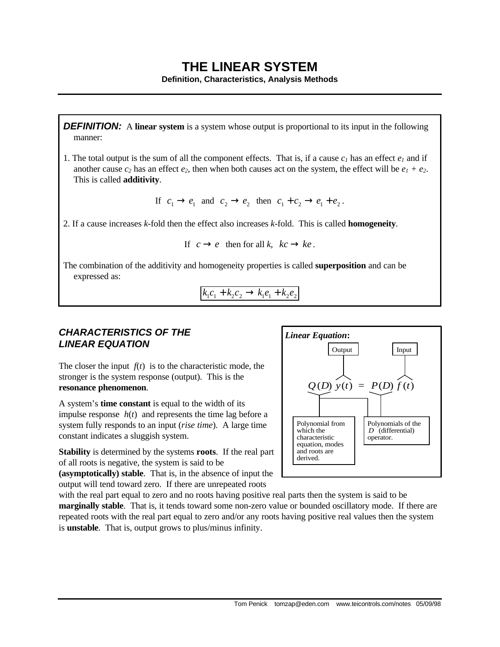# **THE LINEAR SYSTEM**

**Definition, Characteristics, Analysis Methods**

**DEFINITION:** A **linear system** is a system whose output is proportional to its input in the following manner:

1. The total output is the sum of all the component effects. That is, if a cause  $c<sub>I</sub>$  has an effect  $e<sub>I</sub>$  and if another cause  $c_2$  has an effect  $e_2$ , then when both causes act on the system, the effect will be  $e_1 + e_2$ . This is called **additivity**.

If  $c_1 \rightarrow e_1$  and  $c_2 \rightarrow e_2$  then  $c_1 + c_2 \rightarrow e_1 + e_2$ .

2. If a cause increases *k*-fold then the effect also increases *k*-fold. This is called **homogeneity**.

If  $c \rightarrow e$  then for all *k*,  $kc \rightarrow ke$ .

The combination of the additivity and homogeneity properties is called **superposition** and can be expressed as:

$$
k_1 c_1 + k_2 c_2 \to k_1 e_1 + k_2 e_2
$$

# *CHARACTERISTICS OF THE LINEAR EQUATION*

The closer the input  $f(t)$  is to the characteristic mode, the stronger is the system response (output). This is the **resonance phenomenon**.

A system's **time constant** is equal to the width of its impulse response  $h(t)$  and represents the time lag before a system fully responds to an input (*rise time*). A large time constant indicates a sluggish system.

**Stability** is determined by the systems **roots**. If the real part of all roots is negative, the system is said to be **(asymptotically) stable**. That is, in the absence of input the output will tend toward zero. If there are unrepeated roots



with the real part equal to zero and no roots having positive real parts then the system is said to be **marginally stable**. That is, it tends toward some non-zero value or bounded oscillatory mode. If there are repeated roots with the real part equal to zero and/or any roots having positive real values then the system is **unstable**. That is, output grows to plus/minus infinity.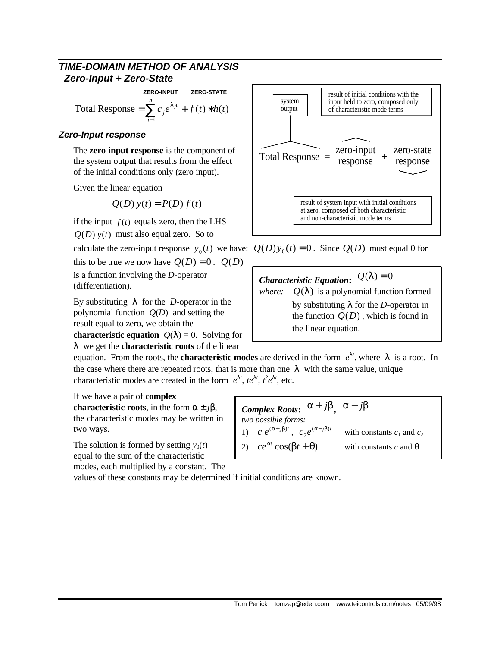# *TIME-DOMAIN METHOD OF ANALYSIS Zero-Input + Zero-State*

**ZERO-INPUT ZERO-STATE** Total Response =  $\sum c_i e^{\lambda_i t} + f(t) * h(t)$ 1  $\sum_{i=1}^{n}$ *j*  $=\sum_{j=1}^{ } c_j e^{\lambda_j t} + f(t) *$ λ

### *Zero-Input response*

The **zero-input response** is the component of the system output that results from the effect of the initial conditions only (zero input).

Given the linear equation

$$
Q(D) y(t) = P(D) f(t)
$$

if the input  $f(t)$  equals zero, then the LHS

 $Q(D)$   $y(t)$  must also equal zero. So to

this to be true we now have  $Q(D) = 0$ .  $Q(D)$ is a function involving the *D*-operator (differentiation).

By substituting  $\lambda$  for the *D*-operator in the polynomial function *Q*(*D*) and setting the result equal to zero, we obtain the

**characteristic equation**  $Q(\lambda) = 0$ . Solving for λ we get the **characteristic roots** of the linear



calculate the zero-input response  $y_0(t)$  we have:  $Q(D)y_0(t) = 0$ . Since  $Q(D)$  must equal 0 for

*Characteristic Equation:*  $Q(\lambda) = 0$ *where:*  $Q(\lambda)$  is a polynomial function formed by substituting  $\lambda$  for the *D*-operator in the function  $O(D)$ , which is found in the linear equation.

equation. From the roots, the **characteristic modes** are derived in the form  $e^{\lambda t}$ . where  $\lambda$  is a root. In the case where there are repeated roots, that is more than one  $\lambda$  with the same value, unique characteristic modes are created in the form  $e^{\lambda t}$ ,  $te^{\lambda t}$ ,  $t^2e^{\lambda t}$ , etc.

If we have a pair of **complex**

**characteristic roots**, in the form  $\alpha \pm i\beta$ , the characteristic modes may be written in two ways.

The solution is formed by setting  $y_0(t)$ equal to the sum of the characteristic modes, each multiplied by a constant. The

*Complex Roots*:  $α + jβ$ ,  $α - jβ$ *two possible forms:* 1)  $c_1 e^{(\alpha+j\beta)t}$ 1  $\alpha + j\beta$ <sub>*t*</sub>,  $c_2e^{(\alpha - j\beta)t}$ 2 with constants  $c_1$  and  $c_2$ 2)  $ce^{\alpha t} \cos(\beta t + \theta)$ with constants  $c$  and  $\theta$ 

values of these constants may be determined if initial conditions are known.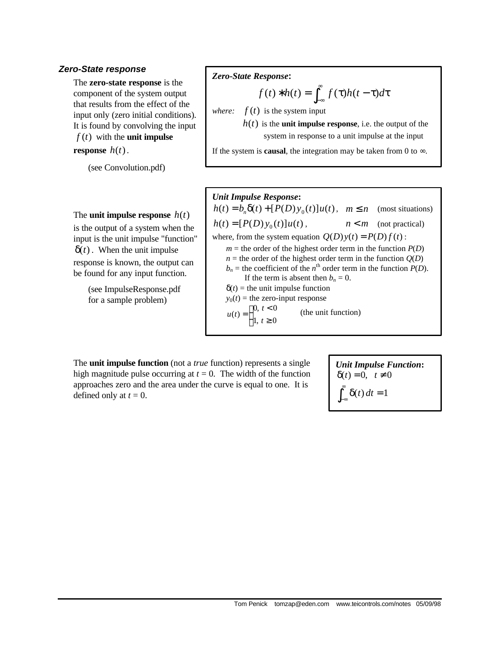#### *Zero-State response*

The **zero-state response** is the component of the system output that results from the effect of the input only (zero initial conditions). It is found by convolving the input *f* (*t*) with the **unit impulse**

**response**  $h(t)$ .

(see Convolution.pdf)

#### The **unit impulse response**  $h(t)$

is the output of a system when the input is the unit impulse "function"  $\delta(t)$ . When the unit impulse response is known, the output can be found for any input function.

> (see ImpulseResponse.pdf for a sample problem)

#### *Zero-State Response***:**

$$
f(t) * h(t) = \int_{-\infty}^{\infty} f(\tau)h(t-\tau)d\tau
$$

*where:*  $f(t)$  is the system input

 $h(t)$  is the **unit impulse response**, i.e. the output of the system in response to a unit impulse at the input

If the system is **causal**, the integration may be taken from 0 to  $\infty$ .

#### *Unit Impulse Response***:**

 $h(t) = b_n \delta(t) + [P(D)y_0(t)]u(t), \quad m \le n \quad \text{(most situations)}$  $h(t) = [P(D)y_0(t)]u(t)$ ,  $n < m$  (not practical) where, from the system equation  $Q(D)y(t) = P(D)f(t)$ :  $m =$  the order of the highest order term in the function  $P(D)$  $n =$  the order of the highest order term in the function  $Q(D)$  $b_n$  = the coefficient of the *n*<sup>th</sup> order term in the function *P*(*D*). If the term is absent then  $b_n = 0$ .  $\delta(t)$  = the unit impulse function  $y_0(t)$  = the zero-input response  $\begin{cases} 1, t ≥ 0 \end{cases}$  $[0, t < 0]$  $u(t) =$ (the unit function)

The **unit impulse function** (not a *true* function) represents a single high magnitude pulse occurring at  $t = 0$ . The width of the function approaches zero and the area under the curve is equal to one. It is defined only at  $t = 0$ .

*Unit Impulse Function***:**  $δ(t) = 0, t ≠ 0$  $\int_{-\infty}^{\infty} \delta(t) dt = 1$ −∞